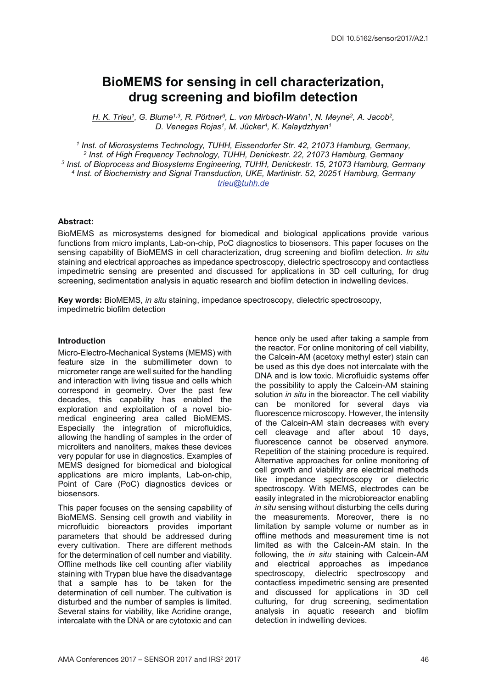# BioMEMS for sensing in cell characterization, drug screening and biofilm detection

H. K. Trieu<sup>1</sup>, G. Blume<sup>1,3</sup>, R. Pörtner<sup>3</sup>, L. von Mirbach-Wahn<sup>1</sup>, N. Meyne<sup>2</sup>, A. Jacob<sup>2</sup>, D. Venegas Rojas<sup>1</sup>, M. Jücker<sup>4</sup>, K. Kalaydzhyan<sup>1</sup>

<sup>1</sup> Inst. of Microsystems Technology, TUHH, Eissendorfer Str. 42, 21073 Hamburg, Germany, <sup>2</sup> Inst. of High Frequency Technology, TUHH, Denickestr. 22, 21073 Hamburg, Germany <sup>3</sup> Inst. of Bioprocess and Biosystems Engineering, TUHH, Denickestr. 15, 21073 Hamburg, Germany <sup>4</sup> Inst. of Biochemistry and Signal Transduction, UKE, Martinistr. 52, 20251 Hamburg, Germany trieu@tuhh.de

### Abstract:

BioMEMS as microsystems designed for biomedical and biological applications provide various functions from micro implants, Lab-on-chip, PoC diagnostics to biosensors. This paper focuses on the sensing capability of BioMEMS in cell characterization, drug screening and biofilm detection. In situ staining and electrical approaches as impedance spectroscopy, dielectric spectroscopy and contactless impedimetric sensing are presented and discussed for applications in 3D cell culturing, for drug screening, sedimentation analysis in aquatic research and biofilm detection in indwelling devices.

Key words: BioMEMS, in situ staining, impedance spectroscopy, dielectric spectroscopy, impedimetric biofilm detection

## Introduction

Micro-Electro-Mechanical Systems (MEMS) with feature size in the submillimeter down to micrometer range are well suited for the handling and interaction with living tissue and cells which correspond in geometry. Over the past few decades, this capability has enabled the exploration and exploitation of a novel biomedical engineering area called BioMEMS. Especially the integration of microfluidics, allowing the handling of samples in the order of microliters and nanoliters, makes these devices very popular for use in diagnostics. Examples of MEMS designed for biomedical and biological applications are micro implants, Lab-on-chip, Point of Care (PoC) diagnostics devices or biosensors.

This paper focuses on the sensing capability of BioMEMS. Sensing cell growth and viability in microfluidic bioreactors provides important parameters that should be addressed during every cultivation. There are different methods for the determination of cell number and viability. Offline methods like cell counting after viability staining with Trypan blue have the disadvantage that a sample has to be taken for the determination of cell number. The cultivation is disturbed and the number of samples is limited. Several stains for viability, like Acridine orange, intercalate with the DNA or are cytotoxic and can

hence only be used after taking a sample from the reactor. For online monitoring of cell viability, the Calcein-AM (acetoxy methyl ester) stain can be used as this dye does not intercalate with the DNA and is low toxic. Microfluidic systems offer the possibility to apply the Calcein-AM staining solution in situ in the bioreactor. The cell viability can be monitored for several days via fluorescence microscopy. However, the intensity of the Calcein-AM stain decreases with every cell cleavage and after about 10 days, fluorescence cannot be observed anymore. Repetition of the staining procedure is required. Alternative approaches for online monitoring of cell growth and viability are electrical methods like impedance spectroscopy or dielectric spectroscopy. With MEMS, electrodes can be easily integrated in the microbioreactor enabling in situ sensing without disturbing the cells during the measurements. Moreover, there is no limitation by sample volume or number as in offline methods and measurement time is not limited as with the Calcein-AM stain. In the following, the in situ staining with Calcein-AM and electrical approaches as impedance spectroscopy, dielectric spectroscopy and contactless impedimetric sensing are presented and discussed for applications in 3D cell culturing, for drug screening, sedimentation analysis in aquatic research and biofilm detection in indwelling devices.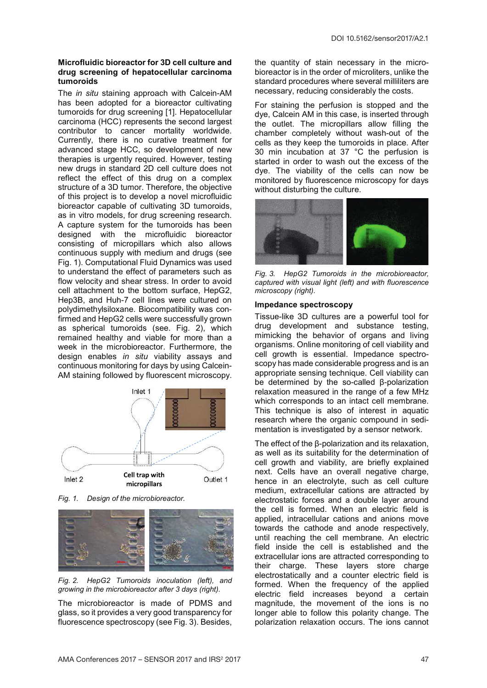### Microfluidic bioreactor for 3D cell culture and drug screening of hepatocellular carcinoma tumoroids

The in situ staining approach with Calcein-AM has been adopted for a bioreactor cultivating tumoroids for drug screening [1]. Hepatocellular carcinoma (HCC) represents the second largest contributor to cancer mortality worldwide. Currently, there is no curative treatment for advanced stage HCC, so development of new therapies is urgently required. However, testing new drugs in standard 2D cell culture does not reflect the effect of this drug on a complex structure of a 3D tumor. Therefore, the objective of this project is to develop a novel microfluidic bioreactor capable of cultivating 3D tumoroids, as in vitro models, for drug screening research. A capture system for the tumoroids has been designed with the microfluidic bioreactor consisting of micropillars which also allows continuous supply with medium and drugs (see Fig. 1). Computational Fluid Dynamics was used to understand the effect of parameters such as flow velocity and shear stress. In order to avoid cell attachment to the bottom surface, HepG2, Hep3B, and Huh-7 cell lines were cultured on polydimethylsiloxane. Biocompatibility was confirmed and HepG2 cells were successfully grown as spherical tumoroids (see. Fig. 2), which remained healthy and viable for more than a week in the microbioreactor. Furthermore, the design enables in situ viability assays and continuous monitoring for days by using Calcein-AM staining followed by fluorescent microscopy.



Fig. 1. Design of the microbioreactor.



Fig. 2. HepG2 Tumoroids inoculation (left), and growing in the microbioreactor after 3 days (right).

The microbioreactor is made of PDMS and glass, so it provides a very good transparency for fluorescence spectroscopy (see Fig. 3). Besides, the quantity of stain necessary in the microbioreactor is in the order of microliters, unlike the standard procedures where several milliliters are necessary, reducing considerably the costs.

For staining the perfusion is stopped and the dye, Calcein AM in this case, is inserted through the outlet. The micropillars allow filling the chamber completely without wash-out of the cells as they keep the tumoroids in place. After 30 min incubation at 37 °C the perfusion is started in order to wash out the excess of the dye. The viability of the cells can now be monitored by fluorescence microscopy for days without disturbing the culture.



Fig. 3. HepG2 Tumoroids in the microbioreactor, captured with visual light (left) and with fluorescence microscopy (right).

## Impedance spectroscopy

Tissue-like 3D cultures are a powerful tool for drug development and substance testing, mimicking the behavior of organs and living organisms. Online monitoring of cell viability and cell growth is essential. Impedance spectroscopy has made considerable progress and is an appropriate sensing technique. Cell viability can be determined by the so-called β-polarization relaxation measured in the range of a few MHz which corresponds to an intact cell membrane. This technique is also of interest in aquatic research where the organic compound in sedimentation is investigated by a sensor network.

The effect of the β-polarization and its relaxation, as well as its suitability for the determination of cell growth and viability, are briefly explained next. Cells have an overall negative charge, hence in an electrolyte, such as cell culture medium, extracellular cations are attracted by electrostatic forces and a double layer around the cell is formed. When an electric field is applied, intracellular cations and anions move towards the cathode and anode respectively, until reaching the cell membrane. An electric field inside the cell is established and the extracellular ions are attracted corresponding to their charge. These layers store charge electrostatically and a counter electric field is formed. When the frequency of the applied electric field increases beyond a certain magnitude, the movement of the ions is no longer able to follow this polarity change. The polarization relaxation occurs. The ions cannot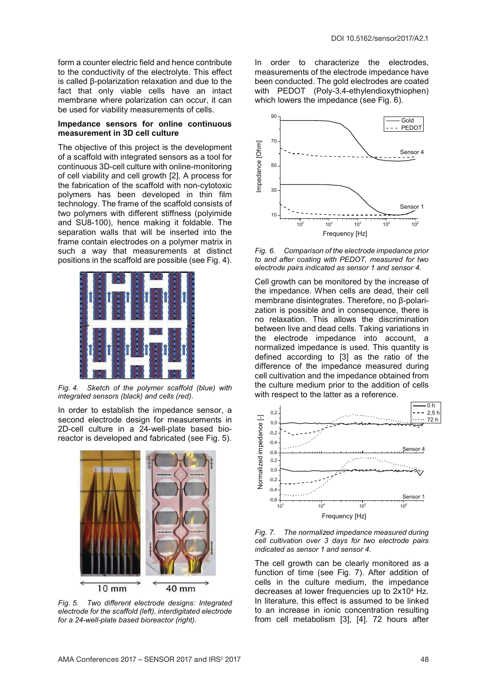form a counter electric field and hence contribute to the conductivity of the electrolyte. This effect is called β-polarization relaxation and due to the fact that only viable cells have an intact membrane where polarization can occur, it can be used for viability measurements of cells.

#### Impedance sensors for online continuous measurement in 3D cell culture

The objective of this project is the development of a scaffold with integrated sensors as a tool for continuous 3D-cell culture with online-monitoring of cell viability and cell growth [2]. A process for the fabrication of the scaffold with non-cytotoxic polymers has been developed in thin film technology. The frame of the scaffold consists of two polymers with different stiffness (polyimide and SU8-100), hence making it foldable. The separation walls that will be inserted into the frame contain electrodes on a polymer matrix in such a way that measurements at distinct positions in the scaffold are possible (see Fig. 4).



Fig. 4. Sketch of the polymer scaffold (blue) with integrated sensors (black) and cells (red).

In order to establish the impedance sensor, a second electrode design for measurements in 2D-cell culture in a 24-well-plate based bioreactor is developed and fabricated (see Fig. 5).



Fig. 5. Two different electrode designs: Integrated electrode for the scaffold (left), interdigitated electrode for a 24-well-plate based bioreactor (right).

In order to characterize the electrodes, measurements of the electrode impedance have been conducted. The gold electrodes are coated with PEDOT (Poly-3,4-ethylendioxythiophen) which lowers the impedance (see Fig. 6).



Fig. 6. Comparison of the electrode impedance prior to and after coating with PEDOT, measured for two electrode pairs indicated as sensor 1 and sensor 4.

Cell growth can be monitored by the increase of the impedance. When cells are dead, their cell membrane disintegrates. Therefore, no β-polarization is possible and in consequence, there is no relaxation. This allows the discrimination between live and dead cells. Taking variations in the electrode impedance into account, a normalized impedance is used. This quantity is defined according to [3] as the ratio of the difference of the impedance measured during cell cultivation and the impedance obtained from the culture medium prior to the addition of cells with respect to the latter as a reference.



Fig. 7. The normalized impedance measured during cell cultivation over 3 days for two electrode pairs indicated as sensor 1 and sensor 4.

The cell growth can be clearly monitored as a function of time (see Fig. 7). After addition of cells in the culture medium, the impedance decreases at lower frequencies up to 2x104 Hz. In literature, this effect is assumed to be linked to an increase in ionic concentration resulting from cell metabolism [3], [4]. 72 hours after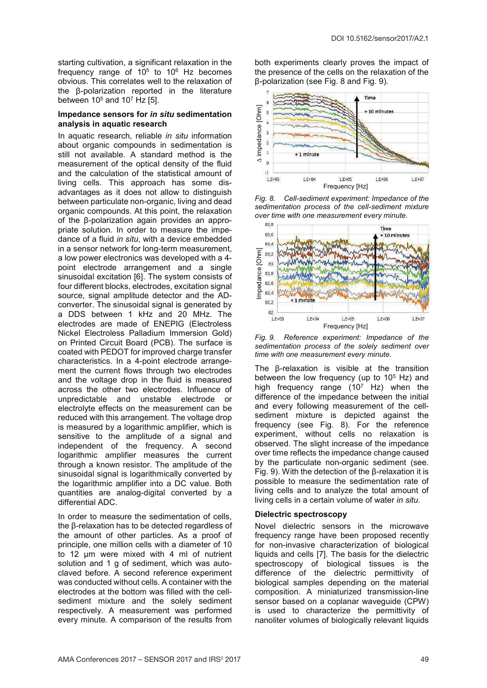starting cultivation, a significant relaxation in the frequency range of  $10^5$  to  $10^6$  Hz becomes obvious. This correlates well to the relaxation of the β-polarization reported in the literature between  $10<sup>5</sup>$  and  $10<sup>7</sup>$  Hz [5].

### Impedance sensors for in situ sedimentation analysis in aquatic research

In aquatic research, reliable in situ information about organic compounds in sedimentation is still not available. A standard method is the measurement of the optical density of the fluid and the calculation of the statistical amount of living cells. This approach has some disadvantages as it does not allow to distinguish between particulate non-organic, living and dead organic compounds. At this point, the relaxation of the β-polarization again provides an appropriate solution. In order to measure the impedance of a fluid in situ, with a device embedded in a sensor network for long-term measurement, a low power electronics was developed with a 4 point electrode arrangement and a single sinusoidal excitation [6]. The system consists of four different blocks, electrodes, excitation signal source, signal amplitude detector and the ADconverter. The sinusoidal signal is generated by a DDS between 1 kHz and 20 MHz. The electrodes are made of ENEPIG (Electroless Nickel Electroless Palladium Immersion Gold) on Printed Circuit Board (PCB). The surface is coated with PEDOT for improved charge transfer characteristics. In a 4-point electrode arrangement the current flows through two electrodes and the voltage drop in the fluid is measured across the other two electrodes. Influence of unpredictable and unstable electrode or electrolyte effects on the measurement can be reduced with this arrangement. The voltage drop is measured by a logarithmic amplifier, which is sensitive to the amplitude of a signal and independent of the frequency. A second logarithmic amplifier measures the current through a known resistor. The amplitude of the sinusoidal signal is logarithmically converted by the logarithmic amplifier into a DC value. Both quantities are analog-digital converted by a differential ADC.

In order to measure the sedimentation of cells. the β-relaxation has to be detected regardless of the amount of other particles. As a proof of principle, one million cells with a diameter of 10 to 12 µm were mixed with 4 ml of nutrient solution and 1 g of sediment, which was autoclaved before. A second reference experiment was conducted without cells. A container with the electrodes at the bottom was filled with the cellsediment mixture and the solely sediment respectively. A measurement was performed every minute. A comparison of the results from both experiments clearly proves the impact of the presence of the cells on the relaxation of the β-polarization (see Fig. 8 and Fig. 9).



Fig. 8. Cell-sediment experiment: Impedance of the sedimentation process of the cell-sediment mixture over time with one measurement every minute.



Fig. 9. Reference experiment: Impedance of the sedimentation process of the solely sediment over time with one measurement every minute.

The β-relaxation is visible at the transition between the low frequency (up to  $10^5$  Hz) and high frequency range  $(10^7 \text{ Hz})$  when the difference of the impedance between the initial and every following measurement of the cellsediment mixture is depicted against the frequency (see Fig. 8). For the reference experiment, without cells no relaxation is observed. The slight increase of the impedance over time reflects the impedance change caused by the particulate non-organic sediment (see. Fig. 9). With the detection of the β-relaxation it is possible to measure the sedimentation rate of living cells and to analyze the total amount of living cells in a certain volume of water in situ.

### Dielectric spectroscopy

Novel dielectric sensors in the microwave frequency range have been proposed recently for non-invasive characterization of biological liquids and cells [7]. The basis for the dielectric spectroscopy of biological tissues is the difference of the dielectric permittivity of biological samples depending on the material composition. A miniaturized transmission-line sensor based on a coplanar waveguide (CPW) is used to characterize the permittivity of nanoliter volumes of biologically relevant liquids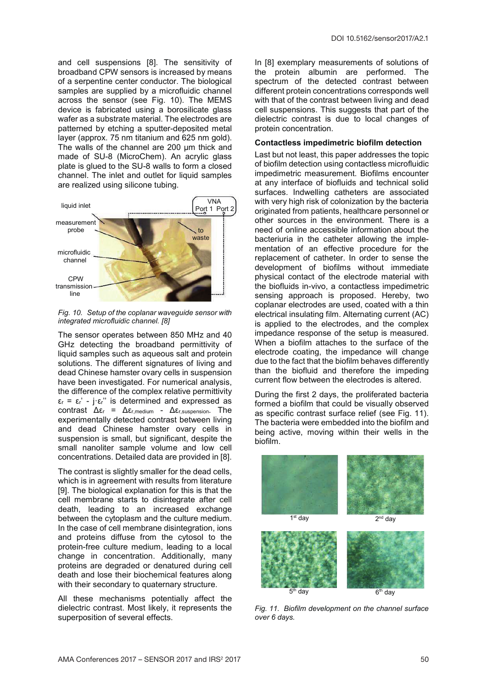and cell suspensions [8]. The sensitivity of broadband CPW sensors is increased by means of a serpentine center conductor. The biological samples are supplied by a microfluidic channel across the sensor (see Fig. 10). The MEMS device is fabricated using a borosilicate glass wafer as a substrate material. The electrodes are patterned by etching a sputter-deposited metal layer (approx. 75 nm titanium and 625 nm gold). The walls of the channel are 200 µm thick and made of SU-8 (MicroChem). An acrylic glass plate is glued to the SU-8 walls to form a closed channel. The inlet and outlet for liquid samples are realized using silicone tubing.



Fig. 10. Setup of the coplanar waveguide sensor with integrated microfluidic channel. [8]

The sensor operates between 850 MHz and 40 GHz detecting the broadband permittivity of liquid samples such as aqueous salt and protein solutions. The different signatures of living and dead Chinese hamster ovary cells in suspension have been investigated. For numerical analysis, the difference of the complex relative permittivity  $\varepsilon_r = \varepsilon_r' - i \varepsilon_r''$  is determined and expressed as contrast  $\Delta \varepsilon_r = \Delta \varepsilon_{r \text{ medium}} - \Delta \varepsilon_{r \text{ suspension}}$ . The experimentally detected contrast between living and dead Chinese hamster ovary cells in suspension is small, but significant, despite the small nanoliter sample volume and low cell concentrations. Detailed data are provided in [8].

The contrast is slightly smaller for the dead cells, which is in agreement with results from literature [9]. The biological explanation for this is that the cell membrane starts to disintegrate after cell death, leading to an increased exchange between the cytoplasm and the culture medium. In the case of cell membrane disintegration, ions and proteins diffuse from the cytosol to the protein-free culture medium, leading to a local change in concentration. Additionally, many proteins are degraded or denatured during cell death and lose their biochemical features along with their secondary to quaternary structure.

All these mechanisms potentially affect the dielectric contrast. Most likely, it represents the superposition of several effects.

In [8] exemplary measurements of solutions of the protein albumin are performed. The spectrum of the detected contrast between different protein concentrations corresponds well with that of the contrast between living and dead cell suspensions. This suggests that part of the dielectric contrast is due to local changes of protein concentration.

#### Contactless impedimetric biofilm detection

Last but not least, this paper addresses the topic of biofilm detection using contactless microfluidic impedimetric measurement. Biofilms encounter at any interface of biofluids and technical solid surfaces. Indwelling catheters are associated with very high risk of colonization by the bacteria originated from patients, healthcare personnel or other sources in the environment. There is a need of online accessible information about the bacteriuria in the catheter allowing the implementation of an effective procedure for the replacement of catheter. In order to sense the development of biofilms without immediate physical contact of the electrode material with the biofluids in-vivo, a contactless impedimetric sensing approach is proposed. Hereby, two coplanar electrodes are used, coated with a thin electrical insulating film. Alternating current (AC) is applied to the electrodes, and the complex impedance response of the setup is measured. When a biofilm attaches to the surface of the electrode coating, the impedance will change due to the fact that the biofilm behaves differently than the biofluid and therefore the impeding current flow between the electrodes is altered.

During the first 2 days, the proliferated bacteria formed a biofilm that could be visually observed as specific contrast surface relief (see Fig. 11). The bacteria were embedded into the biofilm and being active, moving within their wells in the biofilm.



Fig. 11. Biofilm development on the channel surface over 6 days.